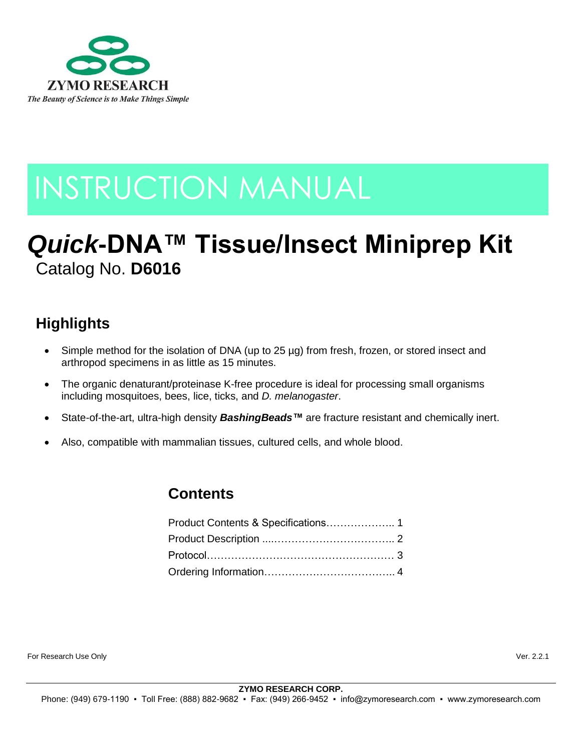

# INSTRUCTION MANUAL

# *Quick***-DNA™ Tissue/Insect Miniprep Kit** Catalog No. **D6016**

# **Highlights**

- Simple method for the isolation of DNA (up to 25 µg) from fresh, frozen, or stored insect and arthropod specimens in as little as 15 minutes.
- The organic denaturant/proteinase K-free procedure is ideal for processing small organisms including mosquitoes, bees, lice, ticks, and *D. melanogaster*.
- State-of-the-art, ultra-high density *BashingBeads™* are fracture resistant and chemically inert.
- Also, compatible with mammalian tissues, cultured cells, and whole blood.

## **Contents**

For Research Use Only Ver. 2.2.1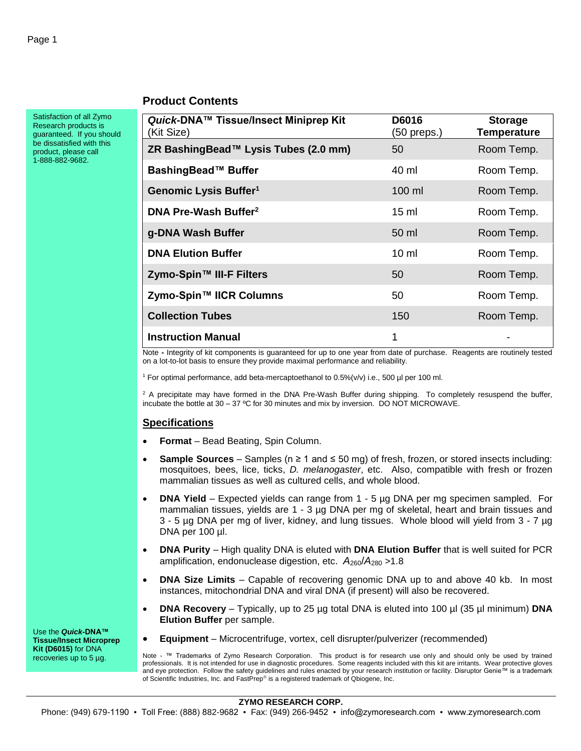#### **Product Contents**

Satisfaction of all Zymo Research products is guaranteed. If you should be dissatisfied with this product, please call 1-888-882-9682.

| Quick-DNA™ Tissue/Insect Miniprep Kit<br>(Kit Size) | D6016<br>(50 preps.) | <b>Storage</b><br><b>Temperature</b> |
|-----------------------------------------------------|----------------------|--------------------------------------|
| ZR BashingBead™ Lysis Tubes (2.0 mm)                | 50                   | Room Temp.                           |
| BashingBead™ Buffer                                 | 40 ml                | Room Temp.                           |
| Genomic Lysis Buffer <sup>1</sup>                   | 100 ml               | Room Temp.                           |
| DNA Pre-Wash Buffer <sup>2</sup>                    | $15 \text{ ml}$      | Room Temp.                           |
| g-DNA Wash Buffer                                   | 50 ml                | Room Temp.                           |
| <b>DNA Elution Buffer</b>                           | $10 \mathrm{m}$      | Room Temp.                           |
| Zymo-Spin™ III-F Filters                            | 50                   | Room Temp.                           |
| Zymo-Spin™ IICR Columns                             | 50                   | Room Temp.                           |
| <b>Collection Tubes</b>                             | 150                  | Room Temp.                           |
| <b>Instruction Manual</b>                           | 1                    |                                      |

Note **-** Integrity of kit components is guaranteed for up to one year from date of purchase. Reagents are routinely tested on a lot-to-lot basis to ensure they provide maximal performance and reliability.

<sup>1</sup> For optimal performance, add beta-mercaptoethanol to  $0.5\%$  ( $v/v$ ) i.e., 500 µl per 100 ml.

 $2$  A precipitate may have formed in the DNA Pre-Wash Buffer during shipping. To completely resuspend the buffer, incubate the bottle at 30 – 37 ºC for 30 minutes and mix by inversion. DO NOT MICROWAVE.

#### **Specifications**

- **Format** Bead Beating, Spin Column.
- **Sample Sources** Samples (n ≥ 1 and ≤ 50 mg) of fresh, frozen, or stored insects including: mosquitoes, bees, lice, ticks, *D. melanogaster*, etc. Also, compatible with fresh or frozen mammalian tissues as well as cultured cells, and whole blood.
- **DNA Yield** Expected yields can range from 1 5 µg DNA per mg specimen sampled. For mammalian tissues, yields are 1 - 3 µg DNA per mg of skeletal, heart and brain tissues and 3 - 5 µg DNA per mg of liver, kidney, and lung tissues. Whole blood will yield from 3 - 7 µg DNA per 100 µl.
- **DNA Purity** High quality DNA is eluted with **DNA Elution Buffer** that is well suited for PCR amplification, endonuclease digestion, etc.  $A_{260}/A_{280} > 1.8$
- **DNA Size Limits** Capable of recovering genomic DNA up to and above 40 kb. In most instances, mitochondrial DNA and viral DNA (if present) will also be recovered.
- **DNA Recovery** Typically, up to 25 µg total DNA is eluted into 100 µl (35 µl minimum) **DNA Elution Buffer** per sample.
- **Equipment** Microcentrifuge, vortex, cell disrupter/pulverizer (recommended)

Note - ™ Trademarks of Zymo Research Corporation. This product is for research use only and should only be used by trained professionals. It is not intended for use in diagnostic procedures. Some reagents included with this kit are irritants. Wear protective gloves and eye protection. Follow the safety guidelines and rules enacted by your research institution or facility. Disruptor Genie™ is a trademark of Scientific Industries, Inc. and FastPrep® is a registered trademark of Qbiogene, Inc.

Use the *Quick***-DNA™ Tissue/Insect Microprep Kit (D6015)** for DNA recoveries up to 5 µg.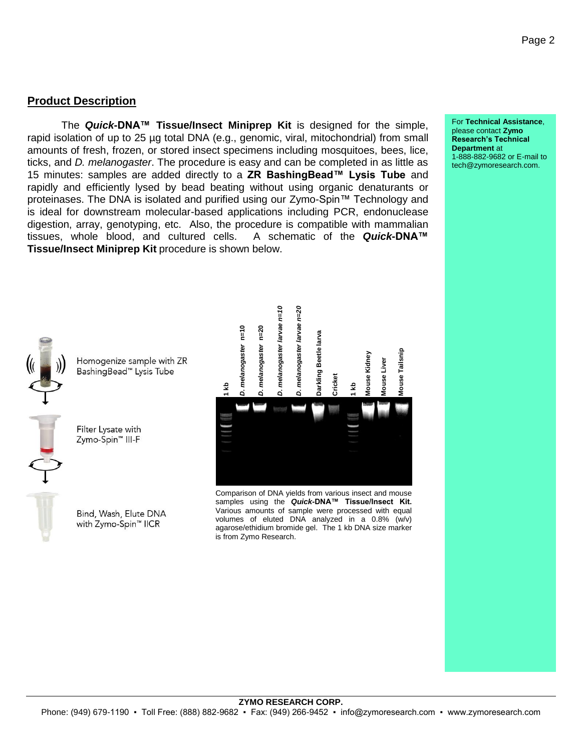#### **Product Description**

The *Quick***-DNA™ Tissue/Insect Miniprep Kit** is designed for the simple, rapid isolation of up to 25 µg total DNA (e.g., genomic, viral, mitochondrial) from small amounts of fresh, frozen, or stored insect specimens including mosquitoes, bees, lice, ticks, and *D. melanogaster*. The procedure is easy and can be completed in as little as 15 minutes: samples are added directly to a **ZR BashingBead™ Lysis Tube** and rapidly and efficiently lysed by bead beating without using organic denaturants or proteinases. The DNA is isolated and purified using our Zymo-Spin™ Technology and is ideal for downstream molecular-based applications including PCR, endonuclease digestion, array, genotyping, etc. Also, the procedure is compatible with mammalian tissues, whole blood, and cultured cells. A schematic of the *Quick***-DNA™ Tissue/Insect Miniprep Kit** procedure is shown below.



Homogenize sample with ZR BashingBead<sup>™</sup> Lysis Tube

Filter Lysate with Zymo-Spin<sup>™</sup> III-F

Bind, Wash, Elute DNA with Zymo-Spin™ IICR



Comparison of DNA yields from various insect and mouse samples using the *Quick***-DNA™ Tissue/Insect Kit.** Various amounts of sample were processed with equal volumes of eluted DNA analyzed in a 0.8% (w/v) agarose/ethidium bromide gel. The 1 kb DNA size marker

For **Technical Assistance**, please contact **Zymo Research's Technical Department** at 1-888-882-9682 or E-mail to tech@zymoresearch.com.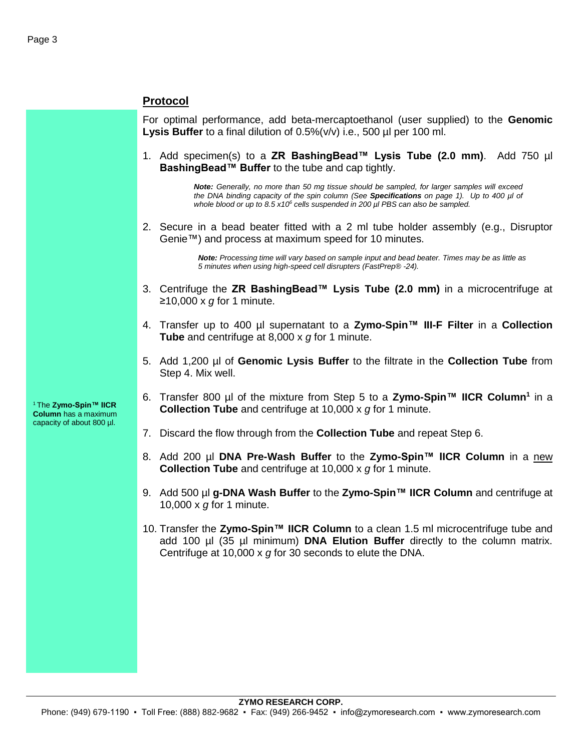#### **Protocol**

For optimal performance, add beta-mercaptoethanol (user supplied) to the **Genomic Lysis Buffer** to a final dilution of 0.5%(v/v) i.e., 500 µl per 100 ml.

1. Add specimen(s) to a **ZR BashingBead™ Lysis Tube (2.0 mm)**. Add 750 µl **BashingBead™ Buffer** to the tube and cap tightly.

> *Note: Generally, no more than 50 mg tissue should be sampled, for larger samples will exceed the DNA binding capacity of the spin column (See Specifications on page 1). Up to 400 µl of whole blood or up to 8.5 x10<sup>6</sup> cells suspended in 200 µl PBS can also be sampled.*

2. Secure in a bead beater fitted with a 2 ml tube holder assembly (e.g., Disruptor Genie™) and process at maximum speed for 10 minutes.

> *Note: Processing time will vary based on sample input and bead beater. Times may be as little as 5 minutes when using high-speed cell disrupters (FastPrep® -24).*

- 3. Centrifuge the **ZR BashingBead™ Lysis Tube (2.0 mm)** in a microcentrifuge at ≥10,000 x *g* for 1 minute.
- 4. Transfer up to 400 µl supernatant to a **Zymo-Spin™ III-F Filter** in a **Collection Tube** and centrifuge at 8,000 x *g* for 1 minute.
- 5. Add 1,200 µl of **Genomic Lysis Buffer** to the filtrate in the **Collection Tube** from Step 4. Mix well.
- 6. Transfer 800 µl of the mixture from Step 5 to a **Zymo-Spin™ IICR Column<sup>1</sup>** in a **Collection Tube** and centrifuge at 10,000 x *g* for 1 minute.
- 7. Discard the flow through from the **Collection Tube** and repeat Step 6.
- 8. Add 200 µl **DNA Pre-Wash Buffer** to the **Zymo-Spin™ IICR Column** in a new **Collection Tube** and centrifuge at 10,000 x *g* for 1 minute.
- 9. Add 500 µl **g-DNA Wash Buffer** to the **Zymo-Spin™ IICR Column** and centrifuge at 10,000 x *g* for 1 minute.
- 10. Transfer the **Zymo-Spin™ IICR Column** to a clean 1.5 ml microcentrifuge tube and add 100 µl (35 µl minimum) **DNA Elution Buffer** directly to the column matrix. Centrifuge at 10,000 x *g* for 30 seconds to elute the DNA.

<sup>1</sup>The **Zymo-Spin™ IICR Column** has a maximum capacity of about 800 µl.